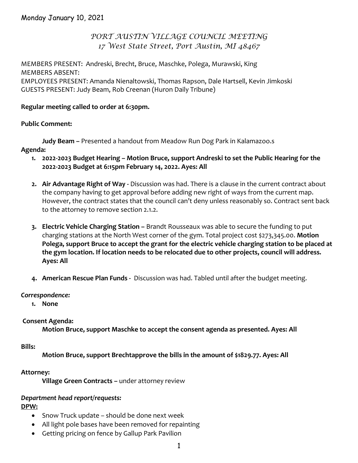# *PORT AUSTIN VILLAGE COUNCIL MEETING 17 West State Street, Port Austin, MI 48467*

MEMBERS PRESENT: Andreski, Brecht, Bruce, Maschke, Polega, Murawski, King MEMBERS ABSENT: EMPLOYEES PRESENT: Amanda Nienaltowski, Thomas Rapson, Dale Hartsell, Kevin Jimkoski GUESTS PRESENT: Judy Beam, Rob Creenan (Huron Daily Tribune)

### **Regular meeting called to order at 6:30pm.**

### **Public Comment:**

**Judy Beam –** Presented a handout from Meadow Run Dog Park in Kalamazoo.s

### **Agenda:**

- **1. 2022-2023 Budget Hearing – Motion Bruce, support Andreski to set the Public Hearing for the 2022-2023 Budget at 6:15pm February 14, 2022. Ayes: All**
- **2. Air Advantage Right of Way -** Discussion was had. There is a clause in the current contract about the company having to get approval before adding new right of ways from the current map. However, the contract states that the council can't deny unless reasonably so. Contract sent back to the attorney to remove section 2.1.2.
- **3. Electric Vehicle Charging Station –** Brandt Rousseaux was able to secure the funding to put charging stations at the North West corner of the gym. Total project cost \$273,345.00. **Motion Polega, support Bruce to accept the grant for the electric vehicle charging station to be placed at the gym location. If location needs to be relocated due to other projects, council will address. Ayes: All**
- **4. American Rescue Plan Funds -** Discussion was had. Tabled until after the budget meeting.

### *Correspondence:*

**1. None**

## **Consent Agenda:**

**Motion Bruce, support Maschke to accept the consent agenda as presented. Ayes: All**

## **Bills:**

**Motion Bruce, support Brechtapprove the bills in the amount of \$1829.77. Ayes: All**

## **Attorney:**

**Village Green Contracts –** under attorney review

#### *Department head report/requests:* **DPW:**

- Snow Truck update should be done next week
- All light pole bases have been removed for repainting
- Getting pricing on fence by Gallup Park Pavilion